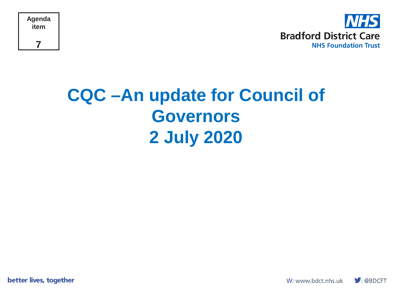



#### **CQC –An update for Council of Governors 2 July 2020**

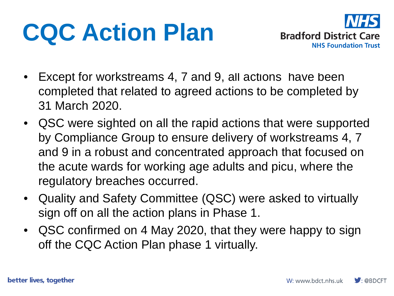# **CQC Action Plan**



- Except for workstreams 4, 7 and 9, all actions have been completed that related to agreed actions to be completed by 31 March 2020.
- QSC were sighted on all the rapid actions that were supported by Compliance Group to ensure delivery of workstreams 4, 7 and 9 in a robust and concentrated approach that focused on the acute wards for working age adults and picu, where the regulatory breaches occurred.
- Quality and Safety Committee (QSC) were asked to virtually sign off on all the action plans in Phase 1.
- QSC confirmed on 4 May 2020, that they were happy to sign off the CQC Action Plan phase 1 virtually.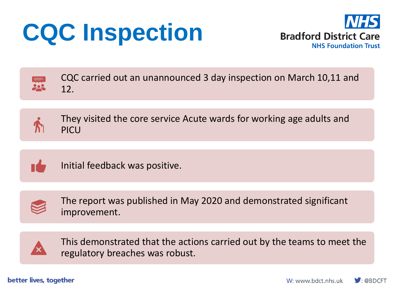# **CQC Inspection**





CQC carried out an unannounced 3 day inspection on March 10,11 and 12.



They visited the core service Acute wards for working age adults and PICU



Initial feedback was positive.



The report was published in May 2020 and demonstrated significant improvement.



This demonstrated that the actions carried out by the teams to meet the regulatory breaches was robust.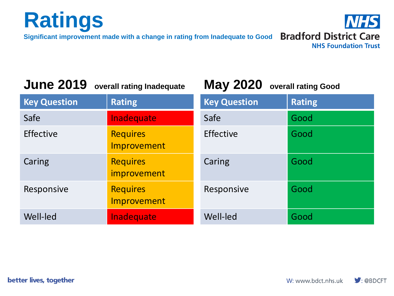

**Significant improvement made with a change in rating from Inadequate to Good Bradford District Care** 



#### **June 2019 overall rating Inadequate**

**May 2020 overall rating Good**

| <b>Key Question</b> | <b>Rating</b>                         | <b>Key Question</b> | <b>Rating</b> |
|---------------------|---------------------------------------|---------------------|---------------|
| Safe                | Inadequate                            | Safe                | Good          |
| Effective           | <b>Requires</b><br>Improvement        | Effective           | Good          |
| Caring              | <b>Requires</b><br><i>improvement</i> | Caring              | Good          |
| Responsive          | <b>Requires</b><br><b>Improvement</b> | Responsive          | Good          |
| Well-led            | Inadequate                            | Well-led            | Good          |